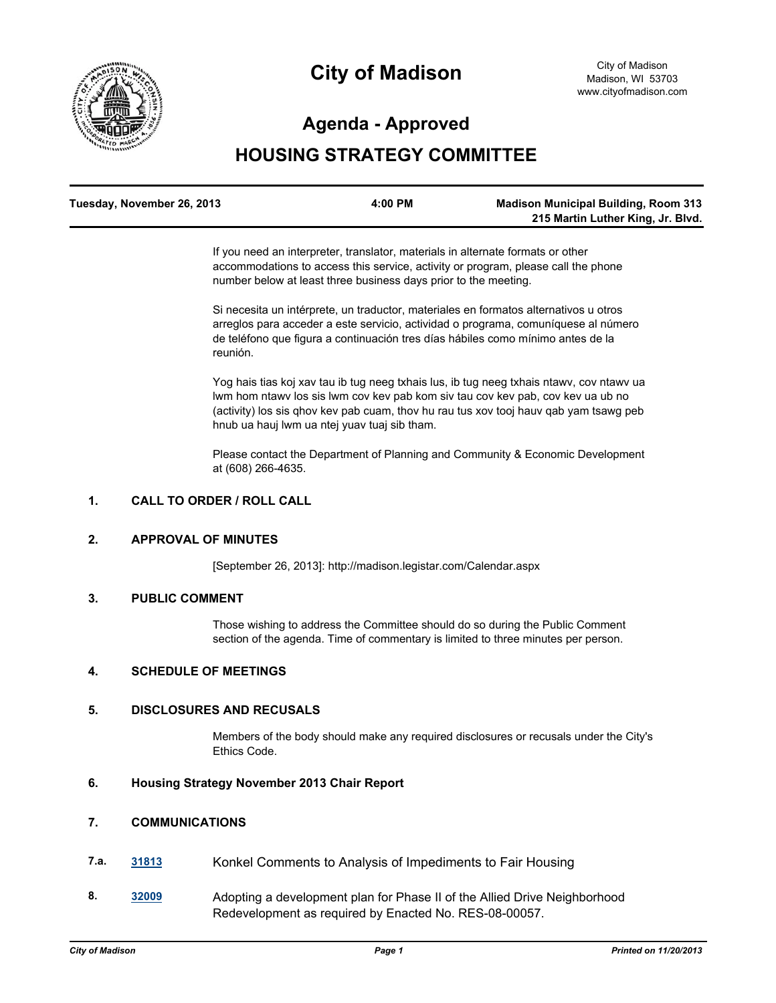

# **City of Madison**

# **Agenda - Approved**

# **HOUSING STRATEGY COMMITTEE**

| Tuesday, November 26, 2013 | 4:00 PM | <b>Madison Municipal Building, Room 313</b> |
|----------------------------|---------|---------------------------------------------|
|                            |         | 215 Martin Luther King, Jr. Blvd.           |

If you need an interpreter, translator, materials in alternate formats or other accommodations to access this service, activity or program, please call the phone number below at least three business days prior to the meeting.

Si necesita un intérprete, un traductor, materiales en formatos alternativos u otros arreglos para acceder a este servicio, actividad o programa, comuníquese al número de teléfono que figura a continuación tres días hábiles como mínimo antes de la reunión.

Yog hais tias koj xav tau ib tug neeg txhais lus, ib tug neeg txhais ntawv, cov ntawv ua lwm hom ntawv los sis lwm cov kev pab kom siv tau cov kev pab, cov kev ua ub no (activity) los sis qhov kev pab cuam, thov hu rau tus xov tooj hauv qab yam tsawg peb hnub ua hauj lwm ua ntej yuav tuaj sib tham.

Please contact the Department of Planning and Community & Economic Development at (608) 266-4635.

# **1. CALL TO ORDER / ROLL CALL**

#### **2. APPROVAL OF MINUTES**

[September 26, 2013]: http://madison.legistar.com/Calendar.aspx

#### **3. PUBLIC COMMENT**

Those wishing to address the Committee should do so during the Public Comment section of the agenda. Time of commentary is limited to three minutes per person.

## **4. SCHEDULE OF MEETINGS**

# **5. DISCLOSURES AND RECUSALS**

Members of the body should make any required disclosures or recusals under the City's Ethics Code.

## **6. Housing Strategy November 2013 Chair Report**

### **7. COMMUNICATIONS**

- **7.a. [31813](http://madison.legistar.com/gateway.aspx?m=l&id=/matter.aspx?key=34815)** Konkel Comments to Analysis of Impediments to Fair Housing
- **8. [32009](http://madison.legistar.com/gateway.aspx?m=l&id=/matter.aspx?key=35017)** Adopting a development plan for Phase II of the Allied Drive Neighborhood Redevelopment as required by Enacted No. RES-08-00057.